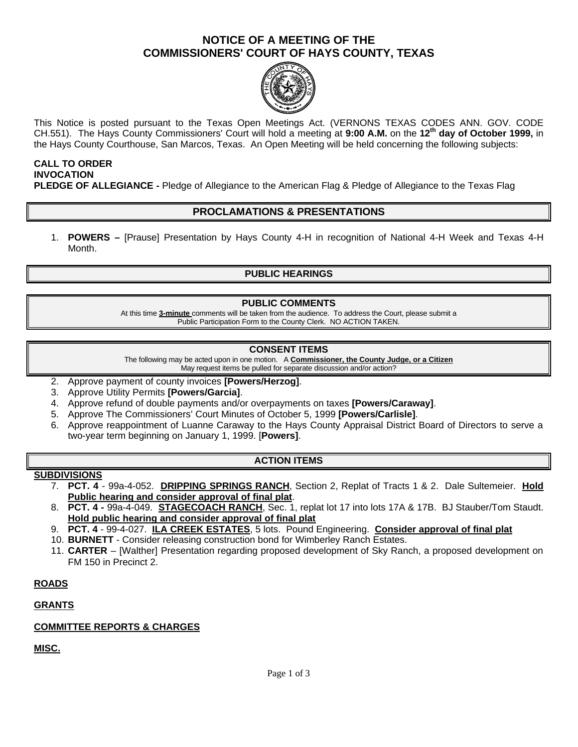## **NOTICE OF A MEETING OF THE COMMISSIONERS' COURT OF HAYS COUNTY, TEXAS**



This Notice is posted pursuant to the Texas Open Meetings Act. (VERNONS TEXAS CODES ANN. GOV. CODE CH.551). The Hays County Commissioners' Court will hold a meeting at **9:00 A.M.** on the **12th day of October 1999,** in the Hays County Courthouse, San Marcos, Texas. An Open Meeting will be held concerning the following subjects:

#### **CALL TO ORDER INVOCATION PLEDGE OF ALLEGIANCE -** Pledge of Allegiance to the American Flag & Pledge of Allegiance to the Texas Flag

## **PROCLAMATIONS & PRESENTATIONS**

1. **POWERS –** [Prause] Presentation by Hays County 4-H in recognition of National 4-H Week and Texas 4-H Month.

## **PUBLIC HEARINGS**

#### **PUBLIC COMMENTS**

At this time **3-minute** comments will be taken from the audience. To address the Court, please submit a Public Participation Form to the County Clerk. NO ACTION TAKEN.

#### **CONSENT ITEMS**

The following may be acted upon in one motion. A **Commissioner, the County Judge, or a Citizen** May request items be pulled for separate discussion and/or action?

- 2. Approve payment of county invoices **[Powers/Herzog]**.
- 3. Approve Utility Permits **[Powers/Garcia]**.
- 4. Approve refund of double payments and/or overpayments on taxes **[Powers/Caraway]**.
- 5. Approve The Commissioners' Court Minutes of October 5, 1999 **[Powers/Carlisle]**.
- 6. Approve reappointment of Luanne Caraway to the Hays County Appraisal District Board of Directors to serve a two-year term beginning on January 1, 1999. [**Powers]**.

#### **ACTION ITEMS**

#### **SUBDIVISIONS**

- 7. **PCT. 4** 99a-4-052. **DRIPPING SPRINGS RANCH**, Section 2, Replat of Tracts 1 & 2. Dale Sultemeier. **Hold Public hearing and consider approval of final plat**.
- 8. **PCT. 4 -** 99a-4-049. **STAGECOACH RANCH**, Sec. 1, replat lot 17 into lots 17A & 17B. BJ Stauber/Tom Staudt. **Hold public hearing and consider approval of final plat**
- 9. **PCT. 4**  99-4-027. **ILA CREEK ESTATES**, 5 lots. Pound Engineering. **Consider approval of final plat**
- 10. **BURNETT** Consider releasing construction bond for Wimberley Ranch Estates.
- 11. **CARTER**  [Walther] Presentation regarding proposed development of Sky Ranch, a proposed development on FM 150 in Precinct 2.

#### **ROADS**

#### **GRANTS**

#### **COMMITTEE REPORTS & CHARGES**

## **MISC.**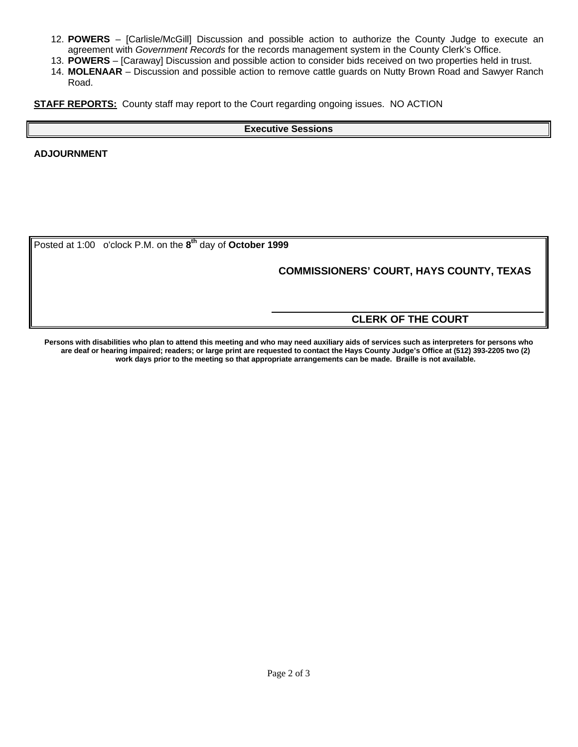- 12. **POWERS**  [Carlisle/McGill] Discussion and possible action to authorize the County Judge to execute an agreement with *Government Records* for the records management system in the County Clerk's Office.
- 13. **POWERS**  [Caraway] Discussion and possible action to consider bids received on two properties held in trust.
- 14. **MOLENAAR**  Discussion and possible action to remove cattle guards on Nutty Brown Road and Sawyer Ranch Road.

**STAFF REPORTS:** County staff may report to the Court regarding ongoing issues. NO ACTION

#### **Executive Sessions**

**ADJOURNMENT**

Posted at 1:00 o'clock P.M. on the **8 th** day of **October 1999**

## **COMMISSIONERS' COURT, HAYS COUNTY, TEXAS**

## **CLERK OF THE COURT**

**Persons with disabilities who plan to attend this meeting and who may need auxiliary aids of services such as interpreters for persons who are deaf or hearing impaired; readers; or large print are requested to contact the Hays County Judge's Office at (512) 393-2205 two (2) work days prior to the meeting so that appropriate arrangements can be made. Braille is not available.**